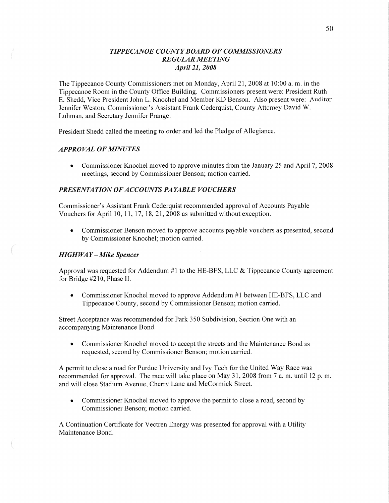# *T IPPECANOE COUNT Y BOARD* OF *COMMISSIONERS REGULAR MEETING April* 21, *2008*

The Tippecanoe County Commissioners met on Monday, April 21, 2008 at 10:00 a. m. in the Tippecanoe Room in the County Office Building. Commissioners present were: President Ruth E. Shedd, Vice President John L. Knochel and Member KD Benson. Also present were: Auditor Jennifer Weston, Commissioner's Assistant Frank Cederquist, County Attorney David W. Luhman, and Secretary Jennifer Prange.

President Shedd called the meeting to order and led the Pledge of Allegiance.

### *APPROVAL* OF *MINUTES*

**0** Commissioner Knochel moved to approve minutes from the January 25 and April 7, 2008 meetings, second by Commissioner Benson; motion carried.

### *PRESENTATION 0FACCOUNTS PAYABLE VOUCHERS*

Commissioner's Assistant Frank Cederquist recommended approval of Accounts Payable Vouchers for April 10, 11, 17, 18, 21, 2008 as submitted without exception.

**0** Commissioner Benson moved to approve accounts payable vouchers as presented, second by Commissioner Knochel; motion carried.

### HI *GHWA Y — Mike Spencer*

 $\left($ 

Approval was requested for Addendum #1 to the HE—BFS, LLC & Tippecanoe County agreement for Bridge #210, Phase II.

**0** Commissioner Knochel moved to approve Addendum #1 between HE-BFS, LLC and Tippecanoe County, second by Commissioner Benson; motion carried.

Street Acceptance was recommended for Park 350 Subdivision, Section One with an accompanying Maintenance Bond.

*0* Commissioner Knochel moved to accept the streets and the Maintenance Bond as requested, second by Commissioner Benson; motion carried.

A permit to close a road for Purdue University and Ivy Tech for the United Way Race was recommended for approval. The race will take place on May 31, 2008 from **7** a. m. until 12 p. m. and will close Stadium Avenue, Cherry Lane and McCormick Street.

**0** Commissioner Knochel moved to approve the permit to close a road, second by Commissioner Benson; motion carried.

A Continuation Certificate for Vectren Energy was presented for approval with a Utility Maintenance Bond.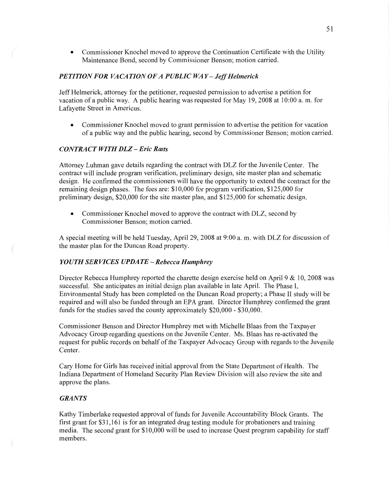**0** Commissioner Knochel moved to approve the Continuation Certificate with the Utility Maintenance Bond, second by Commissioner Benson; motion carried.

### **PETITION FOR VACATION OF A PUBLIC WAY - Jeff Helmerick**

Jeff Helmerick, attorney for the petitioner, requested permission to advertise **<sup>a</sup>**petition for vacation of a public way. **A** public hearing was requested for May 19, 2008 at 10:00 a. m. for Lafayette Street in Americus.

**0** Commissioner Knochel moved to grant permission to advertise the petition for vacation of a public way and the public hearing, second by Commissioner Benson; motion carried.

### *CONTRACT WITH* DLZ **—** *Eric Ratts*

Attorney Luhman gave details regarding the contract with DLZ for the Juvenile Center. The contract will include program verification, preliminary design, site master plan and schematic design. He confirmed the commissioners will have the opportunity to extend the contract for the remaining design phases. The fees are: \$10,000 for program verification, \$125,000 for preliminary design, \$20,000 for the site master plan, and \$125,000 for schematic design.

• Commissioner Knochel moved to approve the contract with DLZ, second by Commissioner Benson; motion carried.

**A** special meeting will be held Tuesday, April 29, 2008 at 9:00 a. m. with DLZ for discussion of the master plan for the Duncan Road property.

### *YOUTH* SER *VICES UPDATE* **—** *Rebecca Humphrey*

Director Rebecca Humphrey reported the charette design exercise held on April 9  $\&$  10, 2008 was successful. She anticipates an initial design plan available in late April. The **Phase** 1, Environmental Study has been completed on the Duncan Road property; a Phase II study will be required and will also be funded through an EPA grant. Director Humphrey confirmed the grant funds for the studies saved the county approximately \$20,000 *-* \$3 0,000.

Commissioner Benson and Director Humphrey met with Michelle Blaas from the Taxpayer Advocacy Group regarding questions on the Juvenile Center. Ms. Blaas has re-activated the request for public records on behalf of the Taxpayer Advocacy Group with regards to the Juvenile Center.

Cary Home for Girls has received initial approval from the State Department of Health. The Indiana Department of Homeland Security **Plan** Review Division will also review the site and approve the plans.

# *GRANTS*

Kathy Timberlake requested approval of funds for Juvenile Accountability Block Grants. The first grant for \$31,161 is for an integrated drug testing module for probationers and training media. The second grant for \$10,000 will be used to increase Quest program capability for staff members.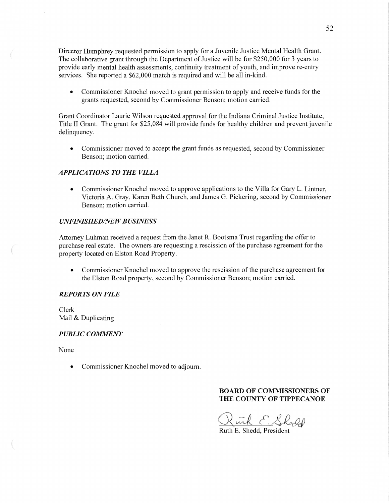Director Humphrey requested permission to apply for **a** Juvenile Justice Mental Health Grant. The collaborative grant through the Department of Justice will be for \$250,000 for 3 years to provide early mental health assessments, continuity treatment of youth, and improve re-entry services. She reported a \$62,000 match is required and will be all in-kind.

**0** Commissioner Knochel moved to grant permission to apply and receive funds for the grants requested, second by Commissioner Benson; motion carried.

Grant Coordinator Laurie Wilson requested approval for the Indiana Criminal Justice Institute, Title 11 Grant. The grant for \$25,084 will provide funds for healthy children and preven<sup>t</sup>juvenile delinquency.

• Commissioner moved to accept the grant funds as requested, second by Commissioner Benson; motion carried.

## *APPLICATIONS* TO THE *VILLA*

**0** Commissioner Knochel moved to approve applications to the Villa for Gary L. Lintner, Victoria A. Gray, Karen Beth Church, and James G. Pickering, second by Commissioner Benson; motion carried.

### *UNFINISHED/NE W B USINESS*

Attorney Luhman received a request from the Janet R. Bootsma Trust regarding the offer to purchase real estate. The owners are requesting a rescission of the purchase agreement for the property located on Elston Road Property.

**0** Commissioner Knochel moved to approve the rescission of the purchase agreement for the Elston Road property, second by Commissioner Benson; motion carried.

### *REPORTS* ON *FILE*

Clerk Mail & Duplicating

#### *PUBLIC COMMENT*

None

 $\sqrt{2}$ 

**0** Commissioner Knochel moved to adjourn.

## **BOARD** OF **COMMISSIONERS** OF **THE COUNTY OF TIPPECANOE**

wich E. Sheep

Ruth E. Shedd, President